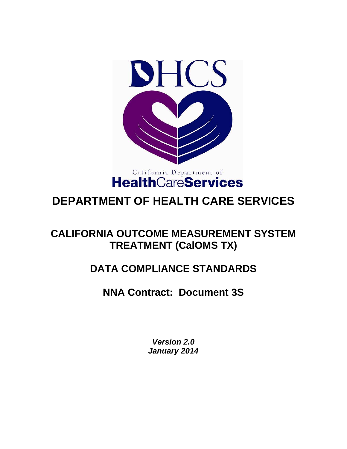

# **DEPARTMENT OF HEALTH CARE SERVICES**

## **CALIFORNIA OUTCOME MEASUREMENT SYSTEM TREATMENT (CalOMS TX)**

# **DATA COMPLIANCE STANDARDS**

### **NNA Contract: Document 3S**

*Version 2.0 January 2014*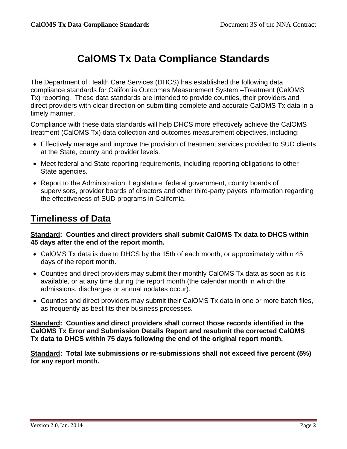## **CalOMS Tx Data Compliance Standards**

The Department of Health Care Services (DHCS) has established the following data compliance standards for California Outcomes Measurement System –Treatment (CalOMS Tx) reporting. These data standards are intended to provide counties, their providers and direct providers with clear direction on submitting complete and accurate CalOMS Tx data in a timely manner.

Compliance with these data standards will help DHCS more effectively achieve the CalOMS treatment (CalOMS Tx) data collection and outcomes measurement objectives, including:

- Effectively manage and improve the provision of treatment services provided to SUD clients at the State, county and provider levels.
- Meet federal and State reporting requirements, including reporting obligations to other State agencies.
- Report to the Administration, Legislature, federal government, county boards of supervisors, provider boards of directors and other third-party payers information regarding the effectiveness of SUD programs in California.

### **Timeliness of Data**

#### **Standard: Counties and direct providers shall submit CalOMS Tx data to DHCS within 45 days after the end of the report month.**

- CalOMS Tx data is due to DHCS by the 15th of each month, or approximately within 45 days of the report month.
- Counties and direct providers may submit their monthly CalOMS Tx data as soon as it is available, or at any time during the report month (the calendar month in which the admissions, discharges or annual updates occur).
- Counties and direct providers may submit their CalOMS Tx data in one or more batch files, as frequently as best fits their business processes.

**Standard: Counties and direct providers shall correct those records identified in the CalOMS Tx Error and Submission Details Report and resubmit the corrected CalOMS Tx data to DHCS within 75 days following the end of the original report month.** 

**Standard: Total late submissions or re-submissions shall not exceed five percent (5%) for any report month.**